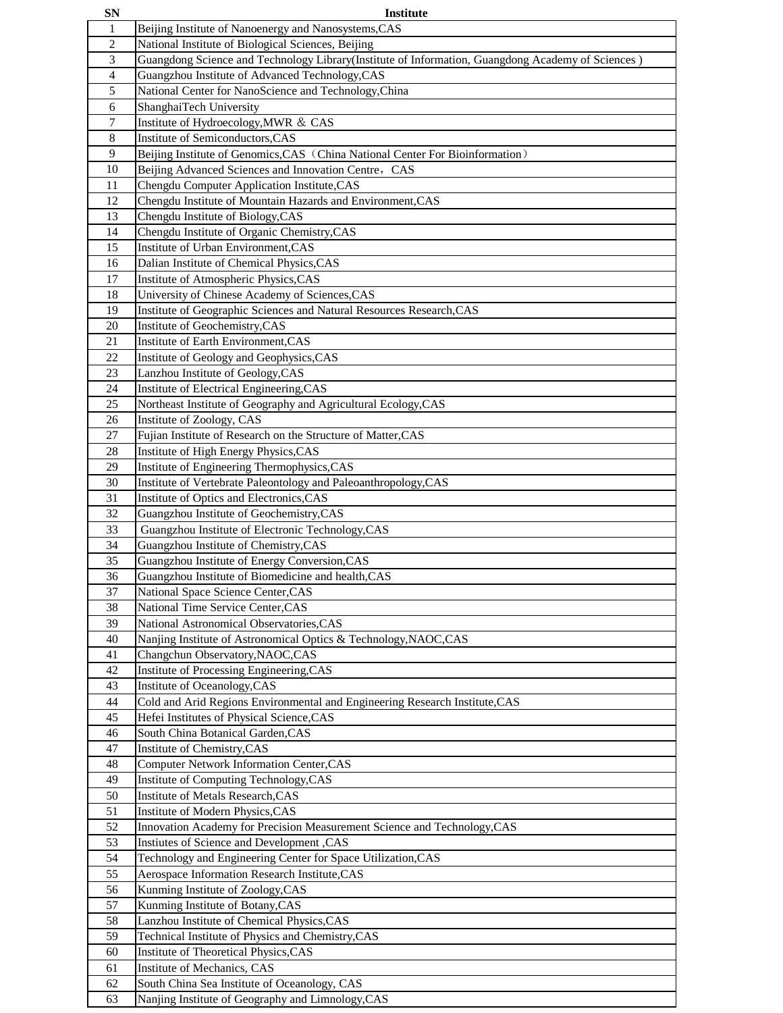| <b>SN</b>       | Institute                                                                                          |
|-----------------|----------------------------------------------------------------------------------------------------|
| 1               | Beijing Institute of Nanoenergy and Nanosystems, CAS                                               |
| $\overline{2}$  | National Institute of Biological Sciences, Beijing                                                 |
| 3               | Guangdong Science and Technology Library (Institute of Information, Guangdong Academy of Sciences) |
| $\overline{4}$  | Guangzhou Institute of Advanced Technology, CAS                                                    |
| 5               | National Center for NanoScience and Technology, China                                              |
| 6               | ShanghaiTech University                                                                            |
| $7\phantom{.0}$ | Institute of Hydroecology, MWR & CAS                                                               |
| 8               | Institute of Semiconductors, CAS                                                                   |
| 9               | Beijing Institute of Genomics, CAS (China National Center For Bioinformation)                      |
| 10              | Beijing Advanced Sciences and Innovation Centre, CAS                                               |
| 11              | Chengdu Computer Application Institute, CAS                                                        |
| 12              | Chengdu Institute of Mountain Hazards and Environment, CAS                                         |
|                 |                                                                                                    |
| 13<br>14        | Chengdu Institute of Biology, CAS<br>Chengdu Institute of Organic Chemistry, CAS                   |
|                 |                                                                                                    |
| 15              | Institute of Urban Environment, CAS                                                                |
| 16              | Dalian Institute of Chemical Physics, CAS                                                          |
| 17              | Institute of Atmospheric Physics, CAS                                                              |
| 18              | University of Chinese Academy of Sciences, CAS                                                     |
| 19              | Institute of Geographic Sciences and Natural Resources Research, CAS                               |
| 20              | Institute of Geochemistry, CAS                                                                     |
| 21              | Institute of Earth Environment, CAS                                                                |
| 22              | Institute of Geology and Geophysics, CAS                                                           |
| 23              | Lanzhou Institute of Geology, CAS                                                                  |
| 24              | Institute of Electrical Engineering, CAS                                                           |
| 25              | Northeast Institute of Geography and Agricultural Ecology, CAS                                     |
| 26              | Institute of Zoology, CAS                                                                          |
| 27              | Fujian Institute of Research on the Structure of Matter, CAS                                       |
| 28              | Institute of High Energy Physics, CAS                                                              |
| 29              | Institute of Engineering Thermophysics, CAS                                                        |
| 30              | Institute of Vertebrate Paleontology and Paleoanthropology, CAS                                    |
| 31              | Institute of Optics and Electronics, CAS                                                           |
| 32              | Guangzhou Institute of Geochemistry, CAS                                                           |
| 33              | Guangzhou Institute of Electronic Technology, CAS                                                  |
| 34              | Guangzhou Institute of Chemistry, CAS                                                              |
| 35              | Guangzhou Institute of Energy Conversion, CAS                                                      |
| 36              | Guangzhou Institute of Biomedicine and health, CAS                                                 |
| 37              | National Space Science Center, CAS                                                                 |
| 38              | National Time Service Center, CAS                                                                  |
| 39              | National Astronomical Observatories, CAS                                                           |
| 40              | Nanjing Institute of Astronomical Optics & Technology, NAOC, CAS                                   |
| 41              | Changchun Observatory, NAOC, CAS                                                                   |
| 42              | Institute of Processing Engineering, CAS                                                           |
| 43              | Institute of Oceanology, CAS                                                                       |
| 44              | Cold and Arid Regions Environmental and Engineering Research Institute, CAS                        |
| 45              | Hefei Institutes of Physical Science, CAS                                                          |
| 46              | South China Botanical Garden, CAS                                                                  |
| 47              | Institute of Chemistry, CAS                                                                        |
| 48              | <b>Computer Network Information Center, CAS</b>                                                    |
| 49              | Institute of Computing Technology, CAS                                                             |
| 50              | Institute of Metals Research, CAS                                                                  |
| 51              | Institute of Modern Physics, CAS                                                                   |
| 52              | Innovation Academy for Precision Measurement Science and Technology, CAS                           |
| 53              | Instiutes of Science and Development, CAS                                                          |
| 54              | Technology and Engineering Center for Space Utilization, CAS                                       |
| 55              | Aerospace Information Research Institute, CAS                                                      |
| 56              | Kunming Institute of Zoology, CAS                                                                  |
| 57              | Kunming Institute of Botany, CAS                                                                   |
| 58              | Lanzhou Institute of Chemical Physics, CAS                                                         |
| 59              | Technical Institute of Physics and Chemistry, CAS                                                  |
| 60              | Institute of Theoretical Physics, CAS                                                              |
| 61              | Institute of Mechanics, CAS                                                                        |
| 62              | South China Sea Institute of Oceanology, CAS                                                       |
| 63              | Nanjing Institute of Geography and Limnology, CAS                                                  |